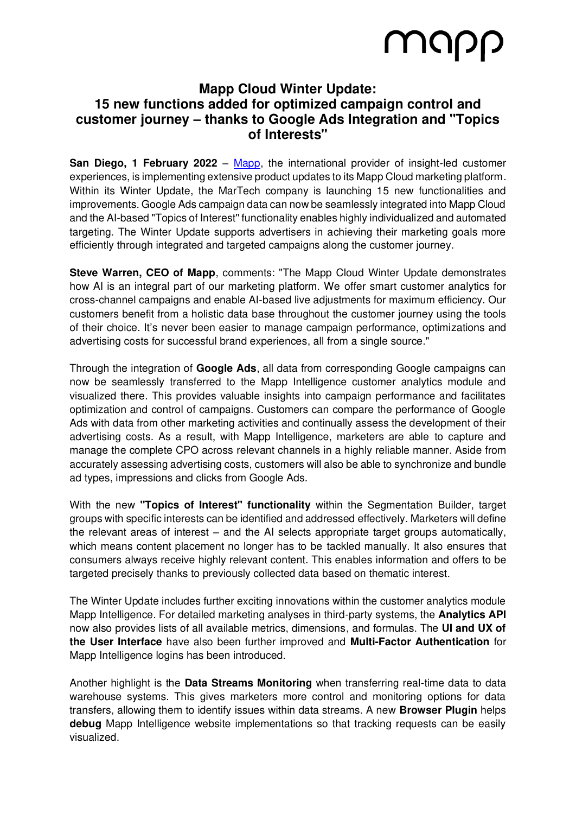## MUPP

### **Mapp Cloud Winter Update: 15 new functions added for optimized campaign control and customer journey – thanks to Google Ads Integration and "Topics of Interests"**

**San Diego, 1 February 2022** – [Mapp,](http://www.mapp.com/) the international provider of insight-led customer experiences, is implementing extensive product updates to its Mapp Cloud marketing platform. Within its Winter Update, the MarTech company is launching 15 new functionalities and improvements. Google Ads campaign data can now be seamlessly integrated into Mapp Cloud and the AI-based "Topics of Interest'' functionality enables highly individualized and automated targeting. The Winter Update supports advertisers in achieving their marketing goals more efficiently through integrated and targeted campaigns along the customer journey.

**Steve Warren, CEO of Mapp**, comments: "The Mapp Cloud Winter Update demonstrates how AI is an integral part of our marketing platform. We offer smart customer analytics for cross-channel campaigns and enable AI-based live adjustments for maximum efficiency. Our customers benefit from a holistic data base throughout the customer journey using the tools of their choice. It's never been easier to manage campaign performance, optimizations and advertising costs for successful brand experiences, all from a single source."

Through the integration of **Google Ads**, all data from corresponding Google campaigns can now be seamlessly transferred to the Mapp Intelligence customer analytics module and visualized there. This provides valuable insights into campaign performance and facilitates optimization and control of campaigns. Customers can compare the performance of Google Ads with data from other marketing activities and continually assess the development of their advertising costs. As a result, with Mapp Intelligence, marketers are able to capture and manage the complete CPO across relevant channels in a highly reliable manner. Aside from accurately assessing advertising costs, customers will also be able to synchronize and bundle ad types, impressions and clicks from Google Ads.

With the new **"Topics of Interest" functionality** within the Segmentation Builder, target groups with specific interests can be identified and addressed effectively. Marketers will define the relevant areas of interest – and the AI selects appropriate target groups automatically, which means content placement no longer has to be tackled manually. It also ensures that consumers always receive highly relevant content. This enables information and offers to be targeted precisely thanks to previously collected data based on thematic interest.

The Winter Update includes further exciting innovations within the customer analytics module Mapp Intelligence. For detailed marketing analyses in third-party systems, the **Analytics API**  now also provides lists of all available metrics, dimensions, and formulas. The **UI and UX of the User Interface** have also been further improved and **Multi-Factor Authentication** for Mapp Intelligence logins has been introduced.

Another highlight is the **Data Streams Monitoring** when transferring real-time data to data warehouse systems. This gives marketers more control and monitoring options for data transfers, allowing them to identify issues within data streams. A new **Browser Plugin** helps **debug** Mapp Intelligence website implementations so that tracking requests can be easily visualized.